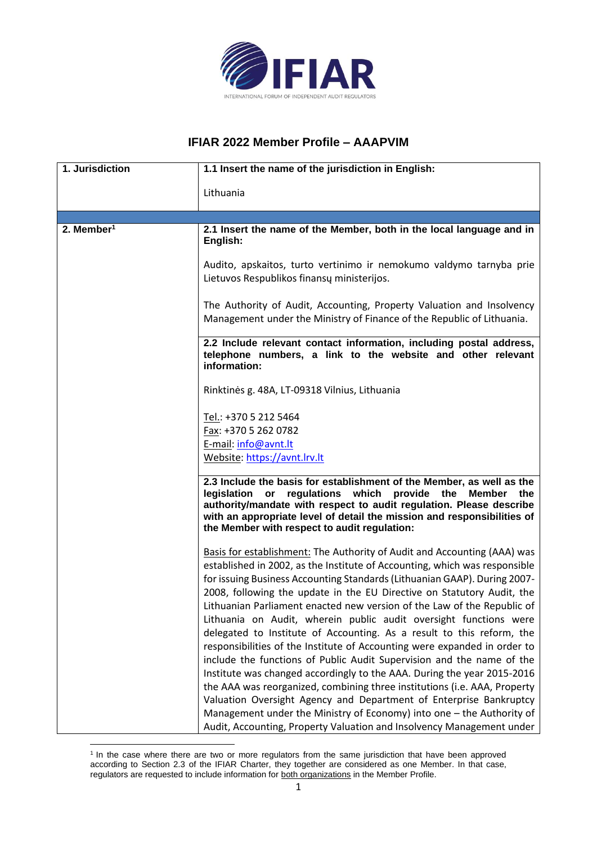

## **IFIAR 2022 Member Profile – AAAPVIM**

| 1. Jurisdiction        | 1.1 Insert the name of the jurisdiction in English:                                                                                                                                                                                                                                                                                         |
|------------------------|---------------------------------------------------------------------------------------------------------------------------------------------------------------------------------------------------------------------------------------------------------------------------------------------------------------------------------------------|
|                        | Lithuania                                                                                                                                                                                                                                                                                                                                   |
|                        |                                                                                                                                                                                                                                                                                                                                             |
| 2. Member <sup>1</sup> | 2.1 Insert the name of the Member, both in the local language and in<br>English:                                                                                                                                                                                                                                                            |
|                        | Audito, apskaitos, turto vertinimo ir nemokumo valdymo tarnyba prie<br>Lietuvos Respublikos finansų ministerijos.                                                                                                                                                                                                                           |
|                        | The Authority of Audit, Accounting, Property Valuation and Insolvency<br>Management under the Ministry of Finance of the Republic of Lithuania.                                                                                                                                                                                             |
|                        | 2.2 Include relevant contact information, including postal address,<br>telephone numbers, a link to the website and other relevant<br>information:                                                                                                                                                                                          |
|                        | Rinktinės g. 48A, LT-09318 Vilnius, Lithuania                                                                                                                                                                                                                                                                                               |
|                        | Tel.: +370 5 212 5464<br>Fax: +370 5 262 0782                                                                                                                                                                                                                                                                                               |
|                        | E-mail: info@avnt.lt                                                                                                                                                                                                                                                                                                                        |
|                        | Website: https://avnt.lrv.lt                                                                                                                                                                                                                                                                                                                |
|                        | 2.3 Include the basis for establishment of the Member, as well as the<br>regulations which provide the<br>legislation or<br>Member<br>the<br>authority/mandate with respect to audit regulation. Please describe<br>with an appropriate level of detail the mission and responsibilities of<br>the Member with respect to audit regulation: |
|                        | Basis for establishment: The Authority of Audit and Accounting (AAA) was<br>established in 2002, as the Institute of Accounting, which was responsible                                                                                                                                                                                      |
|                        | for issuing Business Accounting Standards (Lithuanian GAAP). During 2007-<br>2008, following the update in the EU Directive on Statutory Audit, the<br>Lithuanian Parliament enacted new version of the Law of the Republic of<br>Lithuania on Audit, wherein public audit oversight functions were                                         |
|                        | delegated to Institute of Accounting. As a result to this reform, the<br>responsibilities of the Institute of Accounting were expanded in order to<br>include the functions of Public Audit Supervision and the name of the                                                                                                                 |
|                        | Institute was changed accordingly to the AAA. During the year 2015-2016<br>the AAA was reorganized, combining three institutions (i.e. AAA, Property                                                                                                                                                                                        |
|                        | Valuation Oversight Agency and Department of Enterprise Bankruptcy<br>Management under the Ministry of Economy) into one - the Authority of<br>Audit, Accounting, Property Valuation and Insolvency Management under                                                                                                                        |

<sup>1</sup> In the case where there are two or more regulators from the same jurisdiction that have been approved according to Section 2.3 of the IFIAR Charter, they together are considered as one Member. In that case, regulators are requested to include information for both organizations in the Member Profile.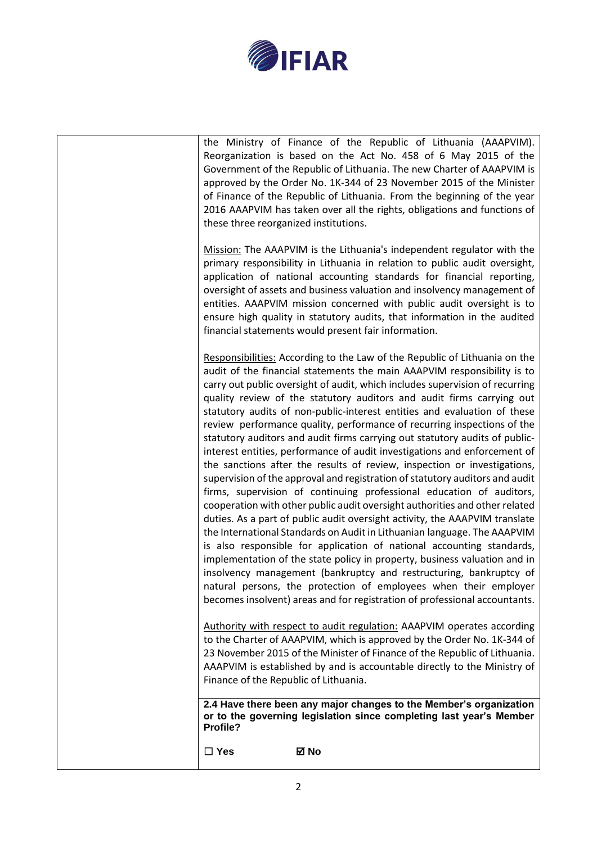

| $\square$ Yes<br>⊠ No                                                                                                                                                                                                                                                                                                                                                                                                                                                                                                                                                                                                                                                                                                                                                                                                                                                                                                                                                                                                                                                                                                                                                                                                                                                                                                                                                                                                                                                                         |
|-----------------------------------------------------------------------------------------------------------------------------------------------------------------------------------------------------------------------------------------------------------------------------------------------------------------------------------------------------------------------------------------------------------------------------------------------------------------------------------------------------------------------------------------------------------------------------------------------------------------------------------------------------------------------------------------------------------------------------------------------------------------------------------------------------------------------------------------------------------------------------------------------------------------------------------------------------------------------------------------------------------------------------------------------------------------------------------------------------------------------------------------------------------------------------------------------------------------------------------------------------------------------------------------------------------------------------------------------------------------------------------------------------------------------------------------------------------------------------------------------|
| 2.4 Have there been any major changes to the Member's organization<br>or to the governing legislation since completing last year's Member<br>Profile?                                                                                                                                                                                                                                                                                                                                                                                                                                                                                                                                                                                                                                                                                                                                                                                                                                                                                                                                                                                                                                                                                                                                                                                                                                                                                                                                         |
| Authority with respect to audit regulation: AAAPVIM operates according<br>to the Charter of AAAPVIM, which is approved by the Order No. 1K-344 of<br>23 November 2015 of the Minister of Finance of the Republic of Lithuania.<br>AAAPVIM is established by and is accountable directly to the Ministry of<br>Finance of the Republic of Lithuania.                                                                                                                                                                                                                                                                                                                                                                                                                                                                                                                                                                                                                                                                                                                                                                                                                                                                                                                                                                                                                                                                                                                                           |
| Responsibilities: According to the Law of the Republic of Lithuania on the<br>audit of the financial statements the main AAAPVIM responsibility is to<br>carry out public oversight of audit, which includes supervision of recurring<br>quality review of the statutory auditors and audit firms carrying out<br>statutory audits of non-public-interest entities and evaluation of these<br>review performance quality, performance of recurring inspections of the<br>statutory auditors and audit firms carrying out statutory audits of public-<br>interest entities, performance of audit investigations and enforcement of<br>the sanctions after the results of review, inspection or investigations,<br>supervision of the approval and registration of statutory auditors and audit<br>firms, supervision of continuing professional education of auditors,<br>cooperation with other public audit oversight authorities and other related<br>duties. As a part of public audit oversight activity, the AAAPVIM translate<br>the International Standards on Audit in Lithuanian language. The AAAPVIM<br>is also responsible for application of national accounting standards,<br>implementation of the state policy in property, business valuation and in<br>insolvency management (bankruptcy and restructuring, bankruptcy of<br>natural persons, the protection of employees when their employer<br>becomes insolvent) areas and for registration of professional accountants. |
| Mission: The AAAPVIM is the Lithuania's independent regulator with the<br>primary responsibility in Lithuania in relation to public audit oversight,<br>application of national accounting standards for financial reporting,<br>oversight of assets and business valuation and insolvency management of<br>entities. AAAPVIM mission concerned with public audit oversight is to<br>ensure high quality in statutory audits, that information in the audited<br>financial statements would present fair information.                                                                                                                                                                                                                                                                                                                                                                                                                                                                                                                                                                                                                                                                                                                                                                                                                                                                                                                                                                         |
| the Ministry of Finance of the Republic of Lithuania (AAAPVIM).<br>Reorganization is based on the Act No. 458 of 6 May 2015 of the<br>Government of the Republic of Lithuania. The new Charter of AAAPVIM is<br>approved by the Order No. 1K-344 of 23 November 2015 of the Minister<br>of Finance of the Republic of Lithuania. From the beginning of the year<br>2016 AAAPVIM has taken over all the rights, obligations and functions of<br>these three reorganized institutions.                                                                                                                                                                                                                                                                                                                                                                                                                                                                                                                                                                                                                                                                                                                                                                                                                                                                                                                                                                                                          |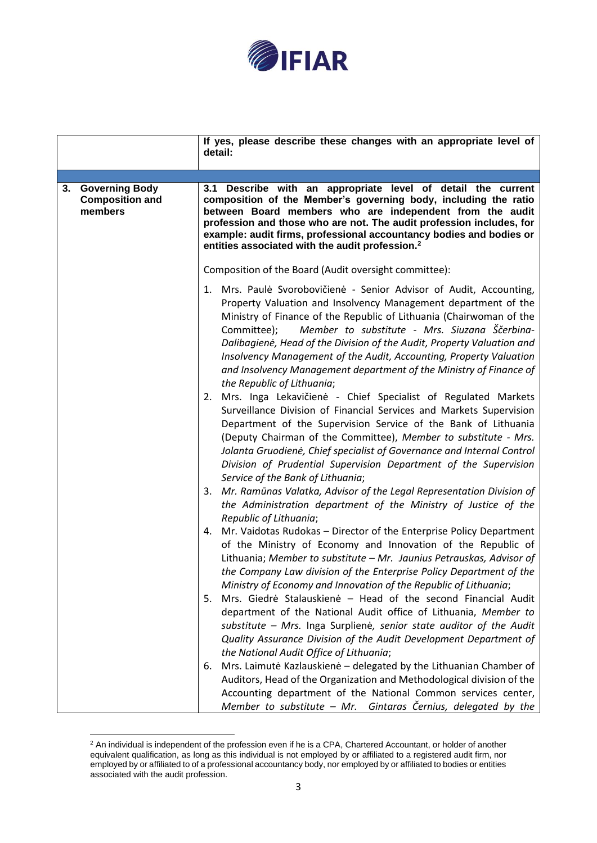

|                                                                  | If yes, please describe these changes with an appropriate level of<br>detail:                                                                                                                                                                                                                                                                                                                                                                                                                                                                                                                                                                                                                                                                                                                                                                                                                                                                                                                                                                                                                                                                                                                                                                                                                                                                                                                                                                                                                                                                                                                                                                                                                                                                                                                                                                                                                                                         |
|------------------------------------------------------------------|---------------------------------------------------------------------------------------------------------------------------------------------------------------------------------------------------------------------------------------------------------------------------------------------------------------------------------------------------------------------------------------------------------------------------------------------------------------------------------------------------------------------------------------------------------------------------------------------------------------------------------------------------------------------------------------------------------------------------------------------------------------------------------------------------------------------------------------------------------------------------------------------------------------------------------------------------------------------------------------------------------------------------------------------------------------------------------------------------------------------------------------------------------------------------------------------------------------------------------------------------------------------------------------------------------------------------------------------------------------------------------------------------------------------------------------------------------------------------------------------------------------------------------------------------------------------------------------------------------------------------------------------------------------------------------------------------------------------------------------------------------------------------------------------------------------------------------------------------------------------------------------------------------------------------------------|
| <b>Governing Body</b><br>3.<br><b>Composition and</b><br>members | 3.1 Describe with an appropriate level of detail the current<br>composition of the Member's governing body, including the ratio<br>between Board members who are independent from the audit<br>profession and those who are not. The audit profession includes, for<br>example: audit firms, professional accountancy bodies and bodies or<br>entities associated with the audit profession. <sup>2</sup>                                                                                                                                                                                                                                                                                                                                                                                                                                                                                                                                                                                                                                                                                                                                                                                                                                                                                                                                                                                                                                                                                                                                                                                                                                                                                                                                                                                                                                                                                                                             |
|                                                                  | Composition of the Board (Audit oversight committee):<br>Mrs. Paulė Svorobovičienė - Senior Advisor of Audit, Accounting,<br>1.<br>Property Valuation and Insolvency Management department of the<br>Ministry of Finance of the Republic of Lithuania (Chairwoman of the<br>Member to substitute - Mrs. Siuzana Ščerbina-<br>Committee);<br>Dalibagienė, Head of the Division of the Audit, Property Valuation and<br>Insolvency Management of the Audit, Accounting, Property Valuation<br>and Insolvency Management department of the Ministry of Finance of<br>the Republic of Lithuania;<br>2. Mrs. Inga Lekavičienė - Chief Specialist of Regulated Markets<br>Surveillance Division of Financial Services and Markets Supervision<br>Department of the Supervision Service of the Bank of Lithuania<br>(Deputy Chairman of the Committee), Member to substitute - Mrs.<br>Jolanta Gruodienė, Chief specialist of Governance and Internal Control<br>Division of Prudential Supervision Department of the Supervision<br>Service of the Bank of Lithuania;<br>3. Mr. Ramūnas Valatka, Advisor of the Legal Representation Division of<br>the Administration department of the Ministry of Justice of the<br>Republic of Lithuania;<br>4. Mr. Vaidotas Rudokas - Director of the Enterprise Policy Department<br>of the Ministry of Economy and Innovation of the Republic of<br>Lithuania; Member to substitute - Mr. Jaunius Petrauskas, Advisor of<br>the Company Law division of the Enterprise Policy Department of the<br>Ministry of Economy and Innovation of the Republic of Lithuania;<br>Mrs. Giedrė Stalauskienė – Head of the second Financial Audit<br>5.<br>department of the National Audit office of Lithuania, Member to<br>substitute - Mrs. Inga Surplienė, senior state auditor of the Audit<br>Quality Assurance Division of the Audit Development Department of<br>the National Audit Office of Lithuania; |
|                                                                  | 6. Mrs. Laimutė Kazlauskienė – delegated by the Lithuanian Chamber of<br>Auditors, Head of the Organization and Methodological division of the<br>Accounting department of the National Common services center,<br>Member to substitute - Mr. Gintaras Černius, delegated by the                                                                                                                                                                                                                                                                                                                                                                                                                                                                                                                                                                                                                                                                                                                                                                                                                                                                                                                                                                                                                                                                                                                                                                                                                                                                                                                                                                                                                                                                                                                                                                                                                                                      |

 $2$  An individual is independent of the profession even if he is a CPA, Chartered Accountant, or holder of another equivalent qualification, as long as this individual is not employed by or affiliated to a registered audit firm, nor employed by or affiliated to of a professional accountancy body, nor employed by or affiliated to bodies or entities associated with the audit profession.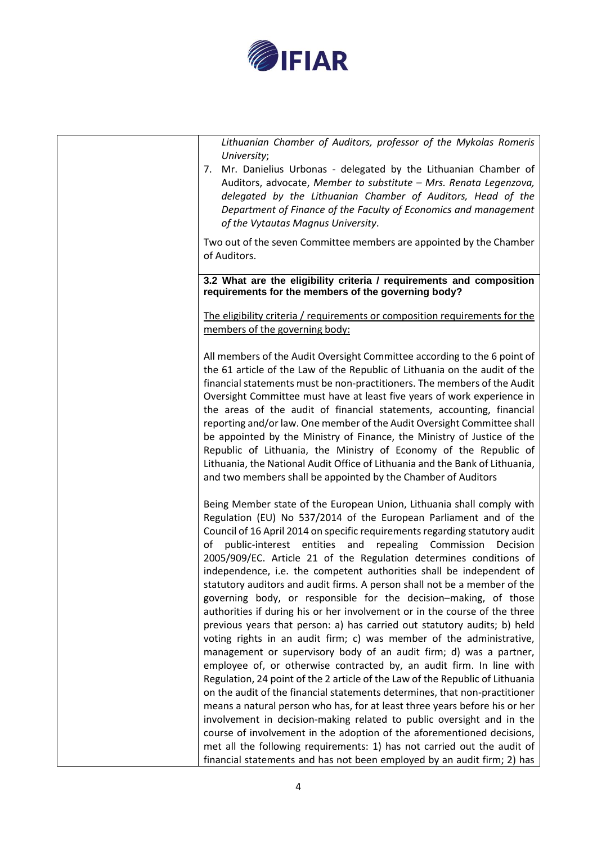

*Lithuanian Chamber of Auditors, professor of the Mykolas Romeris University*;

7. Mr. Danielius Urbonas - delegated by the Lithuanian Chamber of Auditors, advocate, *Member to substitute – Mrs. Renata Legenzova, delegated by the Lithuanian Chamber of Auditors, Head of the Department of Finance of the Faculty of Economics and management of the Vytautas Magnus University*.

Two out of the seven Committee members are appointed by the Chamber of Auditors.

**3.2 What are the eligibility criteria / requirements and composition requirements for the members of the governing body?**

The eligibility criteria / requirements or composition requirements for the members of the governing body:

All members of the Audit Oversight Committee according to the 6 point of the 61 article of the Law of the Republic of Lithuania on the audit of the financial statements must be non-practitioners. The members of the Audit Oversight Committee must have at least five years of work experience in the areas of the audit of financial statements, accounting, financial reporting and/or law. One member of the Audit Oversight Committee shall be appointed by the Ministry of Finance, the Ministry of Justice of the Republic of Lithuania, the Ministry of Economy of the Republic of Lithuania, the National Audit Office of Lithuania and the Bank of Lithuania, and two members shall be appointed by the Chamber of Auditors

Being Member state of the European Union, Lithuania shall comply with Regulation (EU) No 537/2014 of the European Parliament and of the Council of 16 April 2014 on specific requirements regarding statutory audit of public-interest entities and repealing Commission Decision 2005/909/EC. Article 21 of the Regulation determines conditions of independence, i.e. the competent authorities shall be independent of statutory auditors and audit firms. A person shall not be a member of the governing body, or responsible for the decision–making, of those authorities if during his or her involvement or in the course of the three previous years that person: a) has carried out statutory audits; b) held voting rights in an audit firm; c) was member of the administrative, management or supervisory body of an audit firm; d) was a partner, employee of, or otherwise contracted by, an audit firm. In line with Regulation, 24 point of the 2 article of the Law of the Republic of Lithuania on the audit of the financial statements determines, that non-practitioner means a natural person who has, for at least three years before his or her involvement in decision-making related to public oversight and in the course of involvement in the adoption of the aforementioned decisions, met all the following requirements: 1) has not carried out the audit of financial statements and has not been employed by an audit firm; 2) has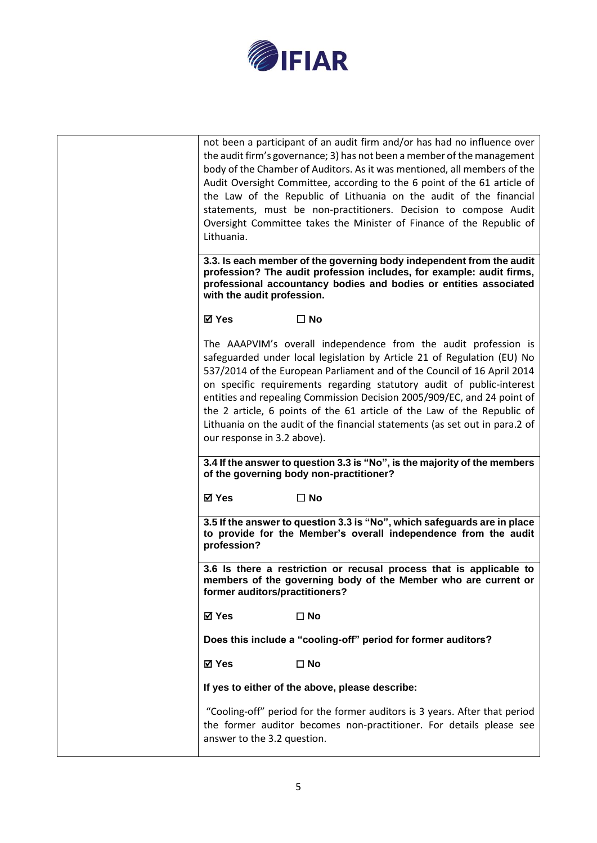

| Lithuania.                     | not been a participant of an audit firm and/or has had no influence over<br>the audit firm's governance; 3) has not been a member of the management<br>body of the Chamber of Auditors. As it was mentioned, all members of the<br>Audit Oversight Committee, according to the 6 point of the 61 article of<br>the Law of the Republic of Lithuania on the audit of the financial<br>statements, must be non-practitioners. Decision to compose Audit<br>Oversight Committee takes the Minister of Finance of the Republic of       |
|--------------------------------|-------------------------------------------------------------------------------------------------------------------------------------------------------------------------------------------------------------------------------------------------------------------------------------------------------------------------------------------------------------------------------------------------------------------------------------------------------------------------------------------------------------------------------------|
| with the audit profession.     | 3.3. Is each member of the governing body independent from the audit<br>profession? The audit profession includes, for example: audit firms,<br>professional accountancy bodies and bodies or entities associated                                                                                                                                                                                                                                                                                                                   |
| ⊠ Yes                          | $\square$ No                                                                                                                                                                                                                                                                                                                                                                                                                                                                                                                        |
| our response in 3.2 above).    | The AAAPVIM's overall independence from the audit profession is<br>safeguarded under local legislation by Article 21 of Regulation (EU) No<br>537/2014 of the European Parliament and of the Council of 16 April 2014<br>on specific requirements regarding statutory audit of public-interest<br>entities and repealing Commission Decision 2005/909/EC, and 24 point of<br>the 2 article, 6 points of the 61 article of the Law of the Republic of<br>Lithuania on the audit of the financial statements (as set out in para.2 of |
|                                | 3.4 If the answer to question 3.3 is "No", is the majority of the members<br>of the governing body non-practitioner?                                                                                                                                                                                                                                                                                                                                                                                                                |
| ⊠ Yes                          | $\square$ No                                                                                                                                                                                                                                                                                                                                                                                                                                                                                                                        |
|                                |                                                                                                                                                                                                                                                                                                                                                                                                                                                                                                                                     |
| profession?                    | 3.5 If the answer to question 3.3 is "No", which safeguards are in place<br>to provide for the Member's overall independence from the audit                                                                                                                                                                                                                                                                                                                                                                                         |
| former auditors/practitioners? | 3.6 Is there a restriction or recusal process that is applicable to<br>members of the governing body of the Member who are current or                                                                                                                                                                                                                                                                                                                                                                                               |
| <b>☑ Yes</b>                   | $\square$ No                                                                                                                                                                                                                                                                                                                                                                                                                                                                                                                        |
|                                | Does this include a "cooling-off" period for former auditors?                                                                                                                                                                                                                                                                                                                                                                                                                                                                       |
| <b>⊠</b> Yes                   | $\square$ No                                                                                                                                                                                                                                                                                                                                                                                                                                                                                                                        |
|                                | If yes to either of the above, please describe:                                                                                                                                                                                                                                                                                                                                                                                                                                                                                     |
| answer to the 3.2 question.    | "Cooling-off" period for the former auditors is 3 years. After that period<br>the former auditor becomes non-practitioner. For details please see                                                                                                                                                                                                                                                                                                                                                                                   |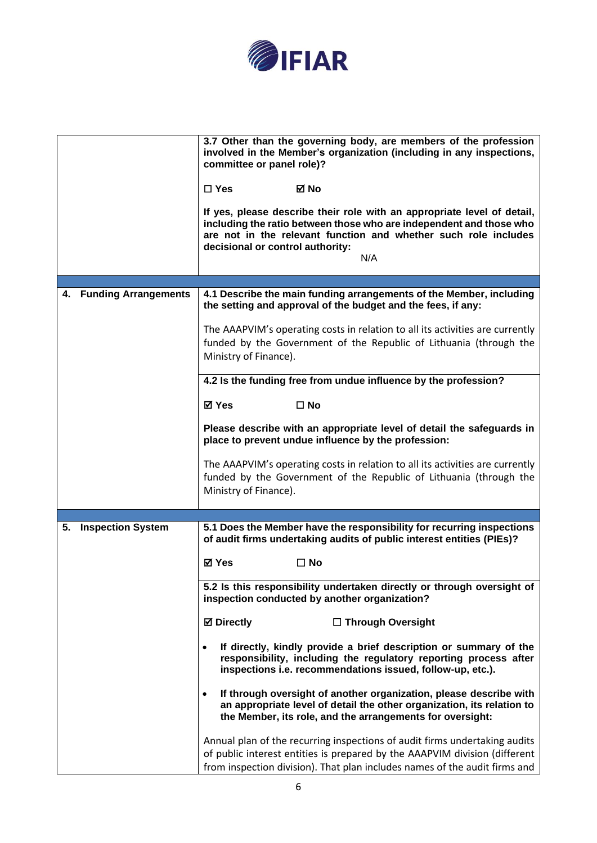

|                                   | 3.7 Other than the governing body, are members of the profession<br>involved in the Member's organization (including in any inspections,<br>committee or panel role)?<br>$\Box$ Yes<br>⊠ No<br>If yes, please describe their role with an appropriate level of detail,<br>including the ratio between those who are independent and those who<br>are not in the relevant function and whether such role includes<br>decisional or control authority:<br>N/A |
|-----------------------------------|-------------------------------------------------------------------------------------------------------------------------------------------------------------------------------------------------------------------------------------------------------------------------------------------------------------------------------------------------------------------------------------------------------------------------------------------------------------|
|                                   |                                                                                                                                                                                                                                                                                                                                                                                                                                                             |
| <b>Funding Arrangements</b><br>4. | 4.1 Describe the main funding arrangements of the Member, including<br>the setting and approval of the budget and the fees, if any:                                                                                                                                                                                                                                                                                                                         |
|                                   | The AAAPVIM's operating costs in relation to all its activities are currently<br>funded by the Government of the Republic of Lithuania (through the<br>Ministry of Finance).                                                                                                                                                                                                                                                                                |
|                                   | 4.2 Is the funding free from undue influence by the profession?                                                                                                                                                                                                                                                                                                                                                                                             |
|                                   |                                                                                                                                                                                                                                                                                                                                                                                                                                                             |
|                                   | ⊠ Yes<br>$\square$ No                                                                                                                                                                                                                                                                                                                                                                                                                                       |
|                                   | Please describe with an appropriate level of detail the safeguards in<br>place to prevent undue influence by the profession:                                                                                                                                                                                                                                                                                                                                |
|                                   | The AAAPVIM's operating costs in relation to all its activities are currently<br>funded by the Government of the Republic of Lithuania (through the<br>Ministry of Finance).                                                                                                                                                                                                                                                                                |
|                                   |                                                                                                                                                                                                                                                                                                                                                                                                                                                             |
| <b>Inspection System</b><br>5.    | 5.1 Does the Member have the responsibility for recurring inspections<br>of audit firms undertaking audits of public interest entities (PIEs)?                                                                                                                                                                                                                                                                                                              |
|                                   | <b>⊠</b> Yes<br>$\Box$ No                                                                                                                                                                                                                                                                                                                                                                                                                                   |
|                                   | 5.2 Is this responsibility undertaken directly or through oversight of<br>inspection conducted by another organization?                                                                                                                                                                                                                                                                                                                                     |
|                                   | <b>⊠</b> Directly<br>□ Through Oversight                                                                                                                                                                                                                                                                                                                                                                                                                    |
|                                   | If directly, kindly provide a brief description or summary of the<br>responsibility, including the regulatory reporting process after<br>inspections i.e. recommendations issued, follow-up, etc.).                                                                                                                                                                                                                                                         |
|                                   | If through oversight of another organization, please describe with<br>an appropriate level of detail the other organization, its relation to<br>the Member, its role, and the arrangements for oversight:                                                                                                                                                                                                                                                   |
|                                   | Annual plan of the recurring inspections of audit firms undertaking audits<br>of public interest entities is prepared by the AAAPVIM division (different<br>from inspection division). That plan includes names of the audit firms and                                                                                                                                                                                                                      |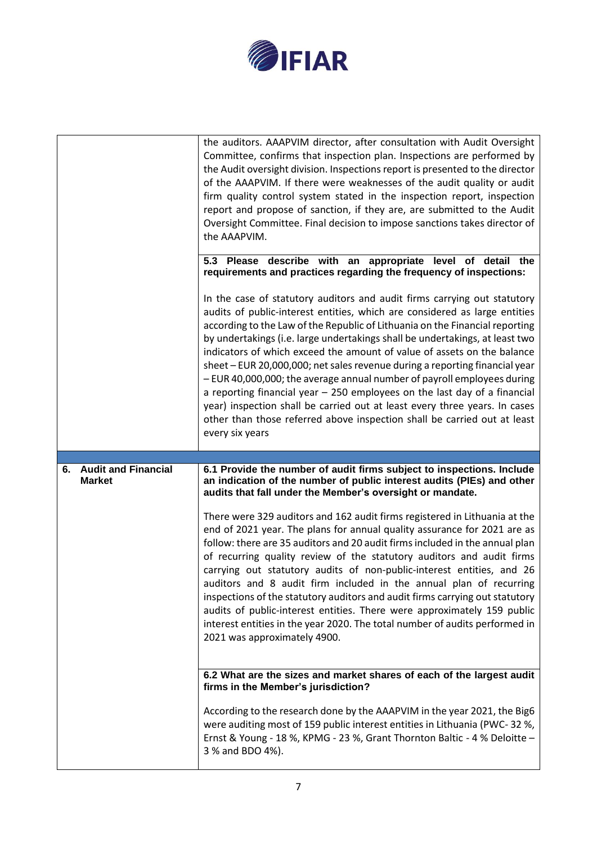

|                                  | the auditors. AAAPVIM director, after consultation with Audit Oversight<br>Committee, confirms that inspection plan. Inspections are performed by<br>the Audit oversight division. Inspections report is presented to the director<br>of the AAAPVIM. If there were weaknesses of the audit quality or audit<br>firm quality control system stated in the inspection report, inspection<br>report and propose of sanction, if they are, are submitted to the Audit<br>Oversight Committee. Final decision to impose sanctions takes director of<br>the AAAPVIM.                                                                                                                                                                                                                                                                                                                 |
|----------------------------------|---------------------------------------------------------------------------------------------------------------------------------------------------------------------------------------------------------------------------------------------------------------------------------------------------------------------------------------------------------------------------------------------------------------------------------------------------------------------------------------------------------------------------------------------------------------------------------------------------------------------------------------------------------------------------------------------------------------------------------------------------------------------------------------------------------------------------------------------------------------------------------|
|                                  | 5.3 Please describe with an appropriate level of detail the<br>requirements and practices regarding the frequency of inspections:                                                                                                                                                                                                                                                                                                                                                                                                                                                                                                                                                                                                                                                                                                                                               |
|                                  | In the case of statutory auditors and audit firms carrying out statutory<br>audits of public-interest entities, which are considered as large entities<br>according to the Law of the Republic of Lithuania on the Financial reporting<br>by undertakings (i.e. large undertakings shall be undertakings, at least two<br>indicators of which exceed the amount of value of assets on the balance<br>sheet - EUR 20,000,000; net sales revenue during a reporting financial year<br>- EUR 40,000,000; the average annual number of payroll employees during<br>a reporting financial year - 250 employees on the last day of a financial<br>year) inspection shall be carried out at least every three years. In cases<br>other than those referred above inspection shall be carried out at least<br>every six years                                                           |
|                                  |                                                                                                                                                                                                                                                                                                                                                                                                                                                                                                                                                                                                                                                                                                                                                                                                                                                                                 |
| <b>Audit and Financial</b><br>6. | 6.1 Provide the number of audit firms subject to inspections. Include                                                                                                                                                                                                                                                                                                                                                                                                                                                                                                                                                                                                                                                                                                                                                                                                           |
| <b>Market</b>                    | an indication of the number of public interest audits (PIEs) and other<br>audits that fall under the Member's oversight or mandate.<br>There were 329 auditors and 162 audit firms registered in Lithuania at the<br>end of 2021 year. The plans for annual quality assurance for 2021 are as<br>follow: there are 35 auditors and 20 audit firms included in the annual plan<br>of recurring quality review of the statutory auditors and audit firms<br>carrying out statutory audits of non-public-interest entities, and 26<br>auditors and 8 audit firm included in the annual plan of recurring<br>inspections of the statutory auditors and audit firms carrying out statutory<br>audits of public-interest entities. There were approximately 159 public<br>interest entities in the year 2020. The total number of audits performed in<br>2021 was approximately 4900. |
|                                  | 6.2 What are the sizes and market shares of each of the largest audit<br>firms in the Member's jurisdiction?                                                                                                                                                                                                                                                                                                                                                                                                                                                                                                                                                                                                                                                                                                                                                                    |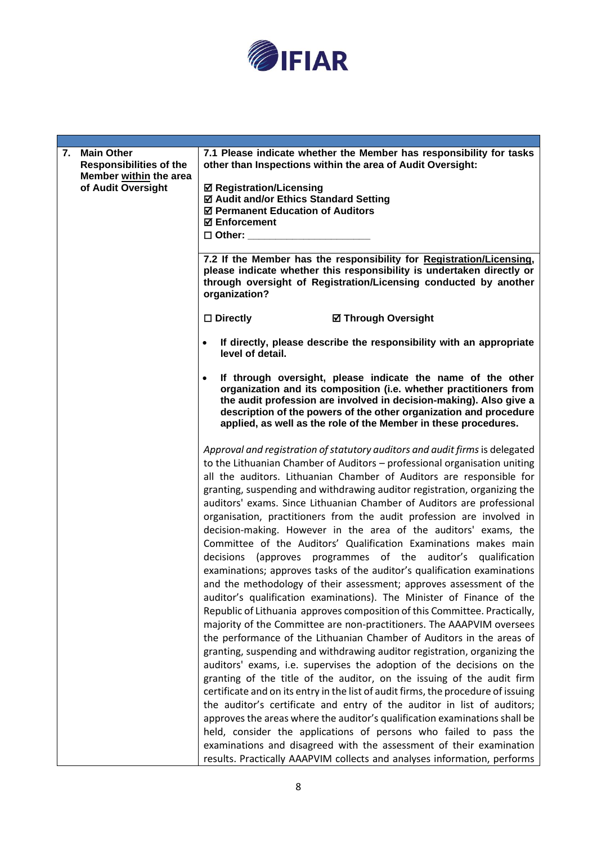

| 7. Main Other<br><b>Responsibilities of the</b> | 7.1 Please indicate whether the Member has responsibility for tasks<br>other than Inspections within the area of Audit Oversight:                                                                                                                                                                                                                                                                                                                                                                                                                                                                                                                                                                                                                                                                                                                                                                                                                                                                                                                                                                                                                                                                                                                                                                                                                                                                                                                                                                                                                                                                                                                                                                                                                                                                                                            |
|-------------------------------------------------|----------------------------------------------------------------------------------------------------------------------------------------------------------------------------------------------------------------------------------------------------------------------------------------------------------------------------------------------------------------------------------------------------------------------------------------------------------------------------------------------------------------------------------------------------------------------------------------------------------------------------------------------------------------------------------------------------------------------------------------------------------------------------------------------------------------------------------------------------------------------------------------------------------------------------------------------------------------------------------------------------------------------------------------------------------------------------------------------------------------------------------------------------------------------------------------------------------------------------------------------------------------------------------------------------------------------------------------------------------------------------------------------------------------------------------------------------------------------------------------------------------------------------------------------------------------------------------------------------------------------------------------------------------------------------------------------------------------------------------------------------------------------------------------------------------------------------------------------|
| Member within the area<br>of Audit Oversight    | <b>☑ Registration/Licensing</b><br>☑ Audit and/or Ethics Standard Setting<br>☑ Permanent Education of Auditors<br><b>☑ Enforcement</b><br>$\square$ Other:                                                                                                                                                                                                                                                                                                                                                                                                                                                                                                                                                                                                                                                                                                                                                                                                                                                                                                                                                                                                                                                                                                                                                                                                                                                                                                                                                                                                                                                                                                                                                                                                                                                                                   |
|                                                 | 7.2 If the Member has the responsibility for Registration/Licensing,                                                                                                                                                                                                                                                                                                                                                                                                                                                                                                                                                                                                                                                                                                                                                                                                                                                                                                                                                                                                                                                                                                                                                                                                                                                                                                                                                                                                                                                                                                                                                                                                                                                                                                                                                                         |
|                                                 | please indicate whether this responsibility is undertaken directly or<br>through oversight of Registration/Licensing conducted by another<br>organization?                                                                                                                                                                                                                                                                                                                                                                                                                                                                                                                                                                                                                                                                                                                                                                                                                                                                                                                                                                                                                                                                                                                                                                                                                                                                                                                                                                                                                                                                                                                                                                                                                                                                                   |
|                                                 | $\square$ Directly<br><b>Ø Through Oversight</b>                                                                                                                                                                                                                                                                                                                                                                                                                                                                                                                                                                                                                                                                                                                                                                                                                                                                                                                                                                                                                                                                                                                                                                                                                                                                                                                                                                                                                                                                                                                                                                                                                                                                                                                                                                                             |
|                                                 | If directly, please describe the responsibility with an appropriate<br>level of detail.                                                                                                                                                                                                                                                                                                                                                                                                                                                                                                                                                                                                                                                                                                                                                                                                                                                                                                                                                                                                                                                                                                                                                                                                                                                                                                                                                                                                                                                                                                                                                                                                                                                                                                                                                      |
|                                                 | If through oversight, please indicate the name of the other<br>$\bullet$<br>organization and its composition (i.e. whether practitioners from<br>the audit profession are involved in decision-making). Also give a<br>description of the powers of the other organization and procedure<br>applied, as well as the role of the Member in these procedures.                                                                                                                                                                                                                                                                                                                                                                                                                                                                                                                                                                                                                                                                                                                                                                                                                                                                                                                                                                                                                                                                                                                                                                                                                                                                                                                                                                                                                                                                                  |
|                                                 | Approval and registration of statutory auditors and audit firms is delegated<br>to the Lithuanian Chamber of Auditors - professional organisation uniting<br>all the auditors. Lithuanian Chamber of Auditors are responsible for<br>granting, suspending and withdrawing auditor registration, organizing the<br>auditors' exams. Since Lithuanian Chamber of Auditors are professional<br>organisation, practitioners from the audit profession are involved in<br>decision-making. However in the area of the auditors' exams, the<br>Committee of the Auditors' Qualification Examinations makes main<br>decisions (approves programmes of the auditor's qualification<br>examinations; approves tasks of the auditor's qualification examinations<br>and the methodology of their assessment; approves assessment of the<br>auditor's qualification examinations). The Minister of Finance of the<br>Republic of Lithuania approves composition of this Committee. Practically,<br>majority of the Committee are non-practitioners. The AAAPVIM oversees<br>the performance of the Lithuanian Chamber of Auditors in the areas of<br>granting, suspending and withdrawing auditor registration, organizing the<br>auditors' exams, i.e. supervises the adoption of the decisions on the<br>granting of the title of the auditor, on the issuing of the audit firm<br>certificate and on its entry in the list of audit firms, the procedure of issuing<br>the auditor's certificate and entry of the auditor in list of auditors;<br>approves the areas where the auditor's qualification examinations shall be<br>held, consider the applications of persons who failed to pass the<br>examinations and disagreed with the assessment of their examination<br>results. Practically AAAPVIM collects and analyses information, performs |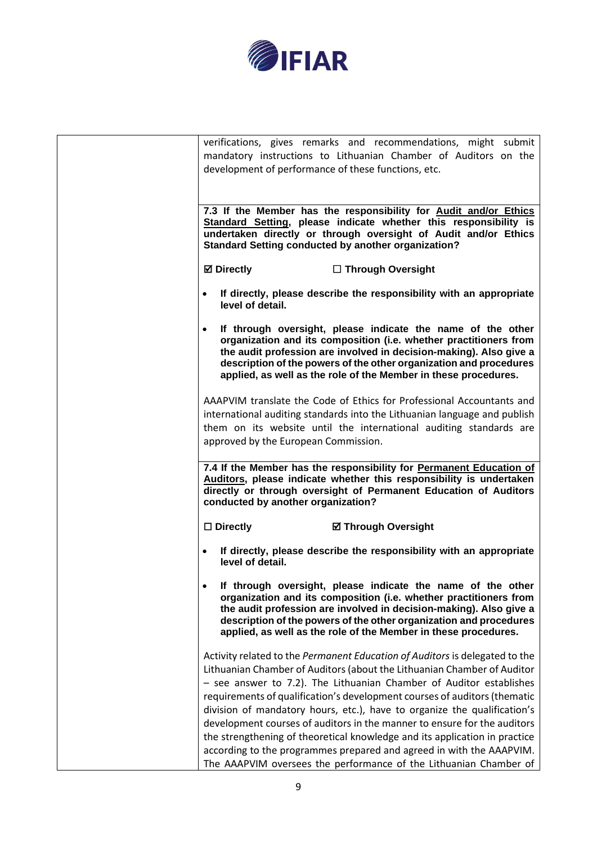

| development of performance of these functions, etc.        | verifications, gives remarks and recommendations, might submit<br>mandatory instructions to Lithuanian Chamber of Auditors on the                                                                                                                                                                                                                                                                                                                                                                                                                                                                                                                                                             |
|------------------------------------------------------------|-----------------------------------------------------------------------------------------------------------------------------------------------------------------------------------------------------------------------------------------------------------------------------------------------------------------------------------------------------------------------------------------------------------------------------------------------------------------------------------------------------------------------------------------------------------------------------------------------------------------------------------------------------------------------------------------------|
| <b>Standard Setting conducted by another organization?</b> | 7.3 If the Member has the responsibility for Audit and/or Ethics<br>Standard Setting, please indicate whether this responsibility is<br>undertaken directly or through oversight of Audit and/or Ethics                                                                                                                                                                                                                                                                                                                                                                                                                                                                                       |
| <b>Ø</b> Directly                                          | □ Through Oversight                                                                                                                                                                                                                                                                                                                                                                                                                                                                                                                                                                                                                                                                           |
| $\bullet$<br>level of detail.                              | If directly, please describe the responsibility with an appropriate                                                                                                                                                                                                                                                                                                                                                                                                                                                                                                                                                                                                                           |
| $\bullet$                                                  | If through oversight, please indicate the name of the other<br>organization and its composition (i.e. whether practitioners from<br>the audit profession are involved in decision-making). Also give a<br>description of the powers of the other organization and procedures<br>applied, as well as the role of the Member in these procedures.                                                                                                                                                                                                                                                                                                                                               |
| approved by the European Commission.                       | AAAPVIM translate the Code of Ethics for Professional Accountants and<br>international auditing standards into the Lithuanian language and publish<br>them on its website until the international auditing standards are                                                                                                                                                                                                                                                                                                                                                                                                                                                                      |
| conducted by another organization?                         | 7.4 If the Member has the responsibility for Permanent Education of<br>Auditors, please indicate whether this responsibility is undertaken<br>directly or through oversight of Permanent Education of Auditors                                                                                                                                                                                                                                                                                                                                                                                                                                                                                |
| $\square$ Directly                                         | <b>Ø Through Oversight</b>                                                                                                                                                                                                                                                                                                                                                                                                                                                                                                                                                                                                                                                                    |
| $\bullet$<br>level of detail.                              | If directly, please describe the responsibility with an appropriate                                                                                                                                                                                                                                                                                                                                                                                                                                                                                                                                                                                                                           |
| $\bullet$                                                  | If through oversight, please indicate the name of the other<br>organization and its composition (i.e. whether practitioners from<br>the audit profession are involved in decision-making). Also give a<br>description of the powers of the other organization and procedures<br>applied, as well as the role of the Member in these procedures.                                                                                                                                                                                                                                                                                                                                               |
|                                                            | Activity related to the Permanent Education of Auditors is delegated to the<br>Lithuanian Chamber of Auditors (about the Lithuanian Chamber of Auditor<br>- see answer to 7.2). The Lithuanian Chamber of Auditor establishes<br>requirements of qualification's development courses of auditors (thematic<br>division of mandatory hours, etc.), have to organize the qualification's<br>development courses of auditors in the manner to ensure for the auditors<br>the strengthening of theoretical knowledge and its application in practice<br>according to the programmes prepared and agreed in with the AAAPVIM.<br>The AAAPVIM oversees the performance of the Lithuanian Chamber of |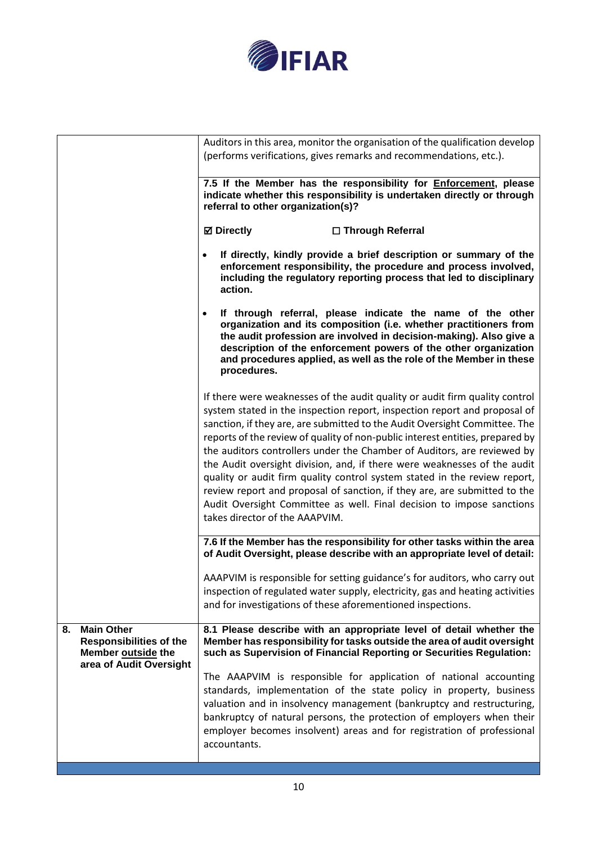

|    |                                                                                                      | Auditors in this area, monitor the organisation of the qualification develop<br>(performs verifications, gives remarks and recommendations, etc.).                                                                                                                                                                                                                                                                                                                                                                                                                                                                                                                                                                                                  |
|----|------------------------------------------------------------------------------------------------------|-----------------------------------------------------------------------------------------------------------------------------------------------------------------------------------------------------------------------------------------------------------------------------------------------------------------------------------------------------------------------------------------------------------------------------------------------------------------------------------------------------------------------------------------------------------------------------------------------------------------------------------------------------------------------------------------------------------------------------------------------------|
|    |                                                                                                      | 7.5 If the Member has the responsibility for Enforcement, please<br>indicate whether this responsibility is undertaken directly or through<br>referral to other organization(s)?                                                                                                                                                                                                                                                                                                                                                                                                                                                                                                                                                                    |
|    |                                                                                                      | <b>Ø</b> Directly<br>□ Through Referral                                                                                                                                                                                                                                                                                                                                                                                                                                                                                                                                                                                                                                                                                                             |
|    |                                                                                                      | If directly, kindly provide a brief description or summary of the<br>enforcement responsibility, the procedure and process involved,<br>including the regulatory reporting process that led to disciplinary<br>action.                                                                                                                                                                                                                                                                                                                                                                                                                                                                                                                              |
|    |                                                                                                      | If through referral, please indicate the name of the other<br>$\bullet$<br>organization and its composition (i.e. whether practitioners from<br>the audit profession are involved in decision-making). Also give a<br>description of the enforcement powers of the other organization<br>and procedures applied, as well as the role of the Member in these<br>procedures.                                                                                                                                                                                                                                                                                                                                                                          |
|    |                                                                                                      | If there were weaknesses of the audit quality or audit firm quality control<br>system stated in the inspection report, inspection report and proposal of<br>sanction, if they are, are submitted to the Audit Oversight Committee. The<br>reports of the review of quality of non-public interest entities, prepared by<br>the auditors controllers under the Chamber of Auditors, are reviewed by<br>the Audit oversight division, and, if there were weaknesses of the audit<br>quality or audit firm quality control system stated in the review report,<br>review report and proposal of sanction, if they are, are submitted to the<br>Audit Oversight Committee as well. Final decision to impose sanctions<br>takes director of the AAAPVIM. |
|    |                                                                                                      | 7.6 If the Member has the responsibility for other tasks within the area<br>of Audit Oversight, please describe with an appropriate level of detail:                                                                                                                                                                                                                                                                                                                                                                                                                                                                                                                                                                                                |
|    |                                                                                                      | AAAPVIM is responsible for setting guidance's for auditors, who carry out<br>inspection of regulated water supply, electricity, gas and heating activities<br>and for investigations of these aforementioned inspections.                                                                                                                                                                                                                                                                                                                                                                                                                                                                                                                           |
| 8. | <b>Main Other</b><br><b>Responsibilities of the</b><br>Member outside the<br>area of Audit Oversight | 8.1 Please describe with an appropriate level of detail whether the<br>Member has responsibility for tasks outside the area of audit oversight<br>such as Supervision of Financial Reporting or Securities Regulation:                                                                                                                                                                                                                                                                                                                                                                                                                                                                                                                              |
|    |                                                                                                      | The AAAPVIM is responsible for application of national accounting<br>standards, implementation of the state policy in property, business<br>valuation and in insolvency management (bankruptcy and restructuring,<br>bankruptcy of natural persons, the protection of employers when their<br>employer becomes insolvent) areas and for registration of professional<br>accountants.                                                                                                                                                                                                                                                                                                                                                                |